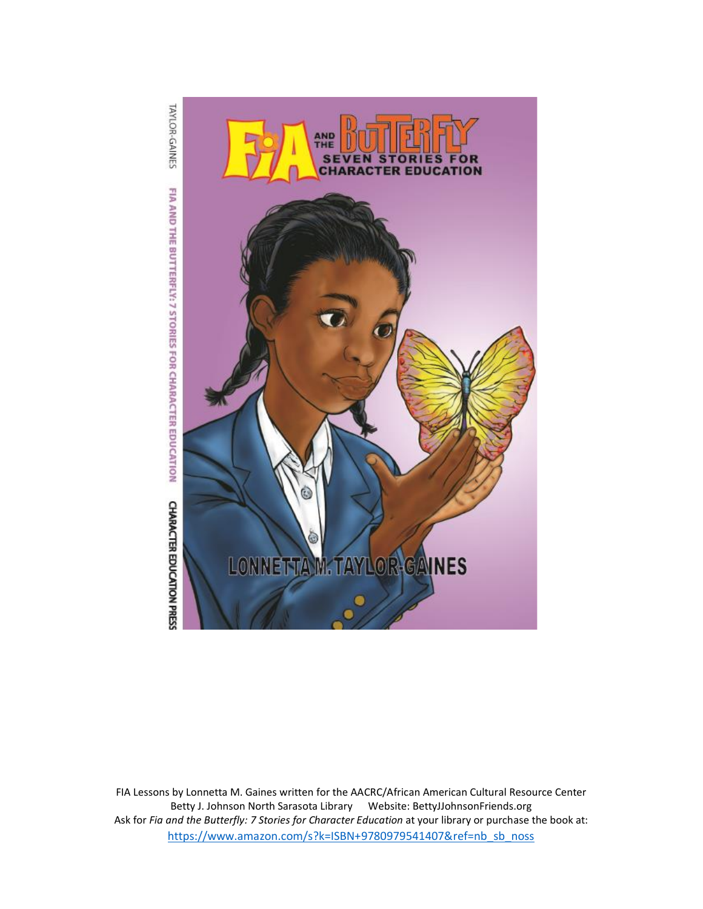

FIA Lessons by Lonnetta M. Gaines written for the AACRC/African American Cultural Resource Center Betty J. Johnson North Sarasota Library Website: BettyJJohnsonFriends.org Ask for *Fia and the Butterfly: 7 Stories for Character Education* at your library or purchase the book at: [https://www.amazon.com/s?k=ISBN+9780979541407&ref=nb\\_sb\\_noss](https://www.amazon.com/s?k=ISBN+9780979541407&ref=nb_sb_noss)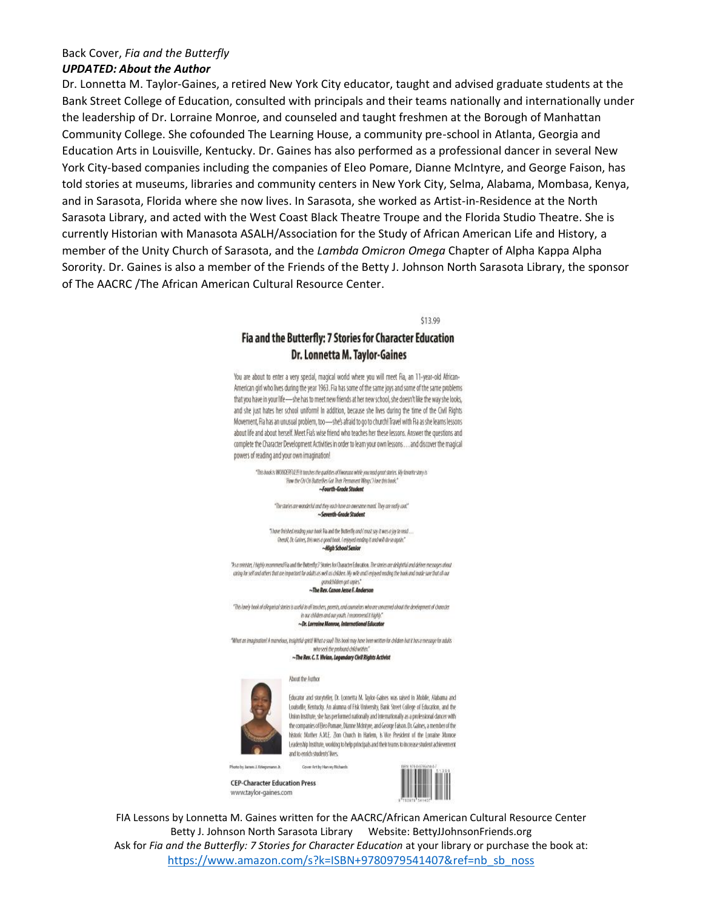#### Back Cover, Fia and the Butterfly

#### **UPDATED: About the Author**

Dr. Lonnetta M. Taylor-Gaines, a retired New York City educator, taught and advised graduate students at the Bank Street College of Education, consulted with principals and their teams nationally and internationally under the leadership of Dr. Lorraine Monroe, and counseled and taught freshmen at the Borough of Manhattan Community College. She cofounded The Learning House, a community pre-school in Atlanta, Georgia and Education Arts in Louisville, Kentucky. Dr. Gaines has also performed as a professional dancer in several New York City-based companies including the companies of Eleo Pomare, Dianne McIntyre, and George Faison, has told stories at museums, libraries and community centers in New York City, Selma, Alabama, Mombasa, Kenya, and in Sarasota, Florida where she now lives. In Sarasota, she worked as Artist-in-Residence at the North Sarasota Library, and acted with the West Coast Black Theatre Troupe and the Florida Studio Theatre. She is currently Historian with Manasota ASALH/Association for the Study of African American Life and History, a member of the Unity Church of Sarasota, and the Lambda Omicron Omega Chapter of Alpha Kappa Alpha Sorority. Dr. Gaines is also a member of the Friends of the Betty J. Johnson North Sarasota Library, the sponsor of The AACRC /The African American Cultural Resource Center.

 $$13.99$ 

### Fia and the Butterfly: 7 Stories for Character Education Dr. Lonnetta M. Taylor-Gaines

You are about to enter a very special, magical world where you will meet Fia, an 11-year-old African-American girl who lives during the year 1963. Fia has some of the same joys and some of the same problems that you have in your life-she has to meet new friends at her new school, she doesn't like the way she looks, and she just hates her school uniform! In addition, because she lives during the time of the Civil Rights Movement, Fia has an unusual problem, too-she's afraid to go to church! Travel with Fia as she learns lessons about life and about herself. Meet Fia's wise friend who teaches her these lessons. Answer the questions and complete the Character Development Activities in order to learn your own lessons ... and discover the magical powers of reading and your own imagination!

"This bank is WONDERFULD! It teaches the qualities of Ximanzon while you read great statics. My favorite stary is "How the Chi Chi ButterBies Got Their Permanent Wings," How this book." ~Fourth-Grade Studen

> "The statics are wonderful and they each have an awesame mand. They are really cool." ~Seventh-Grade Student

"Those Onlyhed reading your book Fia and the Butterfly and I must say it was a joy to read... Overall, Dr. Galves, this was a good book. I enloyed reading it and will do so again." -High School Senior

"As a minister, I highly recommend Fia and the Butterfly." Stonies for Character Education. The stonies are delightful and deliver messages about arising for self-ond others that are important for adults as well as children. My wife and lenjourd reading the book and mode sure that all our *quodebildren get copies* 

~The Rev. Canon Jesse F. Anderso

"This lovely book of allegariaal staties is applied to all teachers, parents, and counselors who are concerned about the development of character in our children and our youth. I recommend it highly." ~Dr. Lorraine Monroe, International Edi

"What an imagination! A marvelous, insightful sptit! What a soul! This look may have been written for childen but it has a message for adults who seek the profound child within

~The Rev. C. T. Wvian, Legendary Civil Rights Activist

About the Author

Cover Art by Harvey Richards



Educator and storyteller, Dr. Lonnetta M. Taylor-Gaines was raised in Mobile, Alabama and Louisville, Kentucky. An alumna of Fisk University, Bank Street College of Education, and the Union institute, she has performed nationally and internationally as a professional dancer with the companies of Eleo Pomare, Dianne Mointyre, and George Falson. Dr. Gaines, a member of the historic Mother A.M.E. Zion Church in Harlem, is Vice President of the Lorratne Morrice Leadership Institute, working to help principals and their teams to increase student achievement and to enrich students' lives.

**CEP-Character Education Press** www.taylor-gaines.com



FIA Lessons by Lonnetta M. Gaines written for the AACRC/African American Cultural Resource Center Betty J. Johnson North Sarasota Library Website: BettyJJohnsonFriends.org Ask for Fia and the Butterfly: 7 Stories for Character Education at your library or purchase the book at: https://www.amazon.com/s?k=ISBN+9780979541407&ref=nb sb noss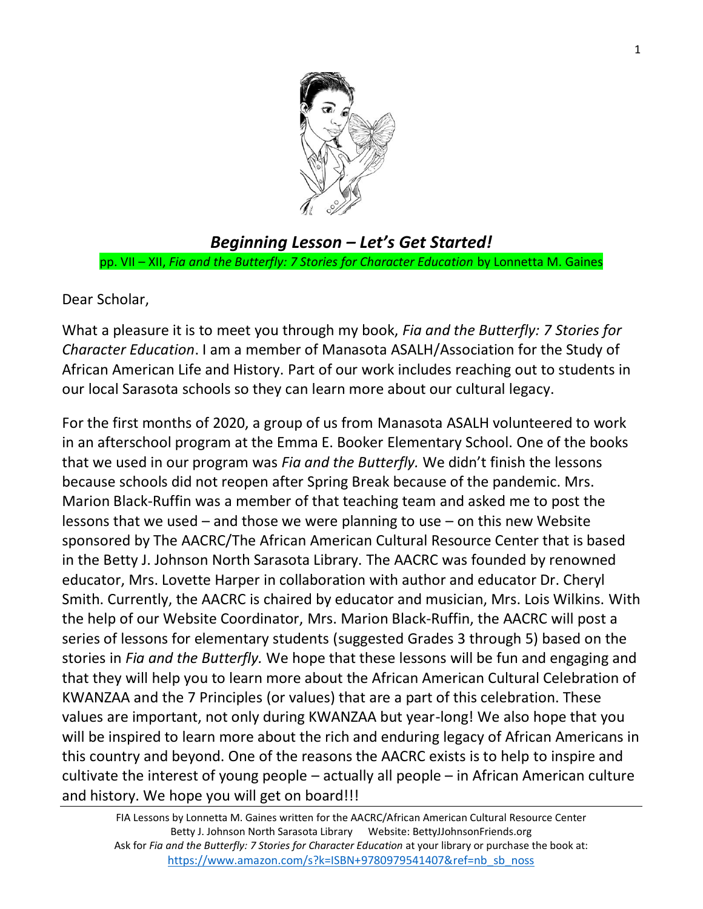

# *Beginning Lesson – Let's Get Started!* pp. VII – XII, *Fia and the Butterfly: 7 Stories for Character Education* by Lonnetta M. Gaines

# Dear Scholar,

What a pleasure it is to meet you through my book, *Fia and the Butterfly: 7 Stories for Character Education*. I am a member of Manasota ASALH/Association for the Study of African American Life and History. Part of our work includes reaching out to students in our local Sarasota schools so they can learn more about our cultural legacy.

For the first months of 2020, a group of us from Manasota ASALH volunteered to work in an afterschool program at the Emma E. Booker Elementary School. One of the books that we used in our program was *Fia and the Butterfly.* We didn't finish the lessons because schools did not reopen after Spring Break because of the pandemic. Mrs. Marion Black-Ruffin was a member of that teaching team and asked me to post the lessons that we used – and those we were planning to use – on this new Website sponsored by The AACRC/The African American Cultural Resource Center that is based in the Betty J. Johnson North Sarasota Library. The AACRC was founded by renowned educator, Mrs. Lovette Harper in collaboration with author and educator Dr. Cheryl Smith. Currently, the AACRC is chaired by educator and musician, Mrs. Lois Wilkins. With the help of our Website Coordinator, Mrs. Marion Black-Ruffin, the AACRC will post a series of lessons for elementary students (suggested Grades 3 through 5) based on the stories in *Fia and the Butterfly.* We hope that these lessons will be fun and engaging and that they will help you to learn more about the African American Cultural Celebration of KWANZAA and the 7 Principles (or values) that are a part of this celebration. These values are important, not only during KWANZAA but year-long! We also hope that you will be inspired to learn more about the rich and enduring legacy of African Americans in this country and beyond. One of the reasons the AACRC exists is to help to inspire and cultivate the interest of young people – actually all people – in African American culture and history. We hope you will get on board!!!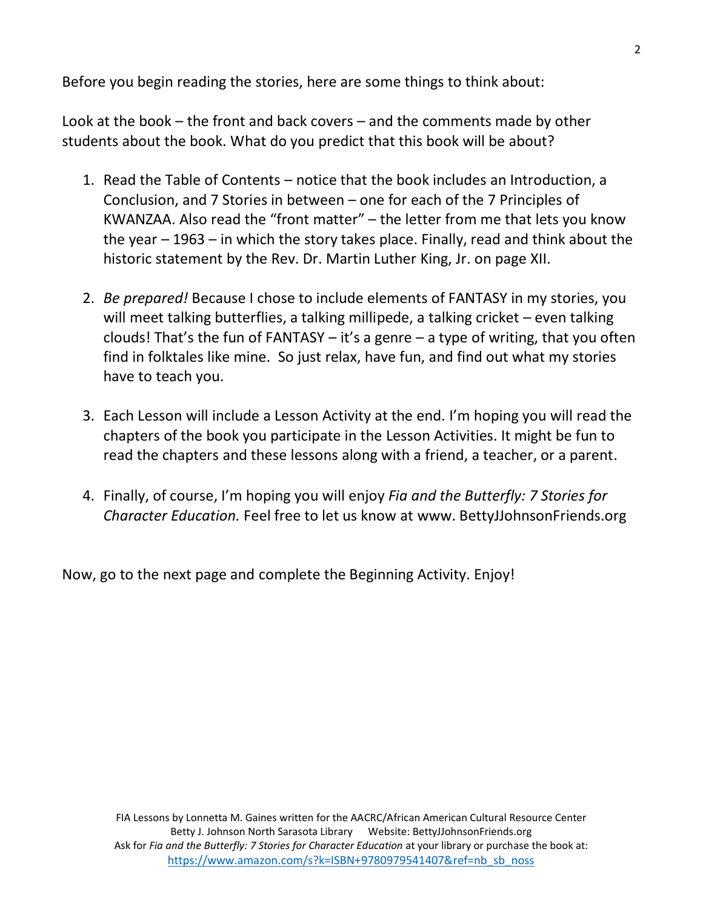Before you begin reading the stories, here are some things to think about:

Look at the book – the front and back covers – and the comments made by other students about the book. What do you predict that this book will be about?

- 1. Read the Table of Contents notice that the book includes an Introduction, a Conclusion, and 7 Stories in between – one for each of the 7 Principles of KWANZAA. Also read the "front matter" – the letter from me that lets you know the year – 1963 – in which the story takes place. Finally, read and think about the historic statement by the Rev. Dr. Martin Luther King, Jr. on page XII.
- 2. *Be prepared!* Because I chose to include elements of FANTASY in my stories, you will meet talking butterflies, a talking millipede, a talking cricket – even talking clouds! That's the fun of  $FANTASY - it's a genre - a type of writing, that you often$ find in folktales like mine. So just relax, have fun, and find out what my stories have to teach you.
- 3. Each Lesson will include a Lesson Activity at the end. I'm hoping you will read the chapters of the book you participate in the Lesson Activities. It might be fun to read the chapters and these lessons along with a friend, a teacher, or a parent.
- 4. Finally, of course, I'm hoping you will enjoy *Fia and the Butterfly: 7 Stories for Character Education.* Feel free to let us know at www. BettyJJohnsonFriends.org

Now, go to the next page and complete the Beginning Activity. Enjoy!